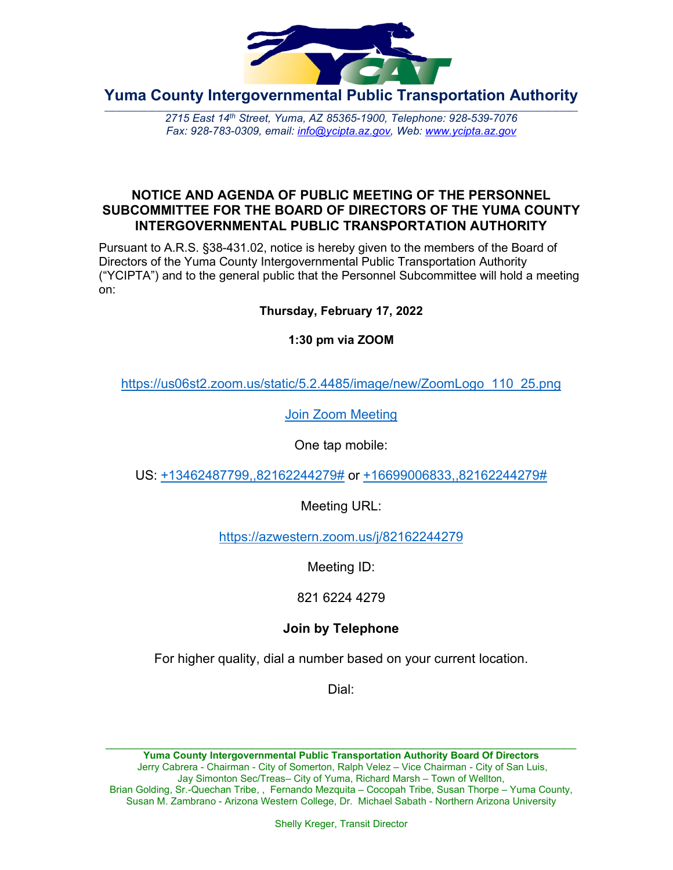

**Yuma County Intergovernmental Public Transportation Authority**

2715 East 14th Street, Yuma, AZ 85365-1900, Telephone: 928-539-7076 *Fax: 928-783-0309, email: [info@ycipta.az.gov,](mailto:info@ycipta.az.gov) Web: [www.ycipta.az.gov](http://www.ycipta.az.gov/)*

### **NOTICE AND AGENDA OF PUBLIC MEETING OF THE PERSONNEL SUBCOMMITTEE FOR THE BOARD OF DIRECTORS OF THE YUMA COUNTY INTERGOVERNMENTAL PUBLIC TRANSPORTATION AUTHORITY**

Pursuant to A.R.S. §38-431.02, notice is hereby given to the members of the Board of Directors of the Yuma County Intergovernmental Public Transportation Authority ("YCIPTA") and to the general public that the Personnel Subcommittee will hold a meeting on:

**Thursday, February 17, 2022**

**1:30 pm via ZOOM**

[https://us06st2.zoom.us/static/5.2.4485/image/new/ZoomLogo\\_110\\_25.png](https://zoom.us/)

[Join Zoom Meeting](https://azwestern.zoom.us/j/82162244279)

One tap mobile:

US: [+13462487799,,82162244279#](tel:+13462487799,,82162244279) or [+16699006833,,82162244279#](tel:+16699006833,,82162244279)

Meeting URL:

<https://azwestern.zoom.us/j/82162244279>

Meeting ID:

821 6224 4279

# **Join by Telephone**

For higher quality, dial a number based on your current location.

Dial: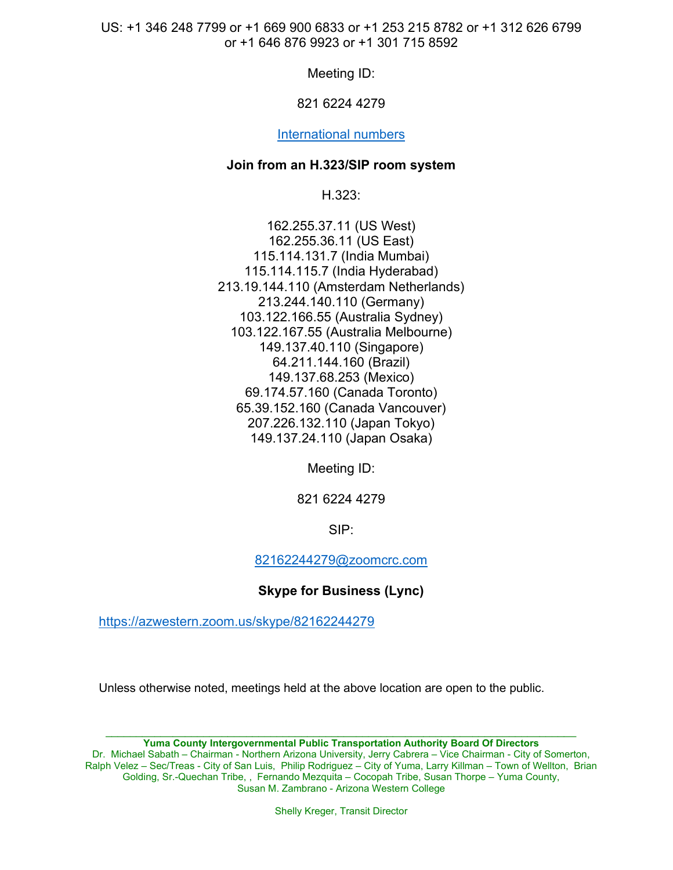US: +1 346 248 7799 or +1 669 900 6833 or +1 253 215 8782 or +1 312 626 6799 or +1 646 876 9923 or +1 301 715 8592

Meeting ID:

### 821 6224 4279

#### [International numbers](https://azwestern.zoom.us/u/kz3rJMfsk)

#### **Join from an H.323/SIP room system**

H.323:

162.255.37.11 (US West) 162.255.36.11 (US East) 115.114.131.7 (India Mumbai) 115.114.115.7 (India Hyderabad) 213.19.144.110 (Amsterdam Netherlands) 213.244.140.110 (Germany) 103.122.166.55 (Australia Sydney) 103.122.167.55 (Australia Melbourne) 149.137.40.110 (Singapore) 64.211.144.160 (Brazil) 149.137.68.253 (Mexico) 69.174.57.160 (Canada Toronto) 65.39.152.160 (Canada Vancouver) 207.226.132.110 (Japan Tokyo) 149.137.24.110 (Japan Osaka)

Meeting ID:

821 6224 4279

SIP:

[82162244279@zoomcrc.com](mailto:82162244279@zoomcrc.com)

**Skype for Business (Lync)**

<https://azwestern.zoom.us/skype/82162244279>

Unless otherwise noted, meetings held at the above location are open to the public.

\_\_\_\_\_\_\_\_\_\_\_\_\_\_\_\_\_\_\_\_\_\_\_\_\_\_\_\_\_\_\_\_\_\_\_\_\_\_\_\_\_\_\_\_\_\_\_\_\_\_\_\_\_\_\_\_\_\_\_\_\_\_\_\_\_\_\_\_\_\_\_\_\_\_\_\_\_ **Yuma County Intergovernmental Public Transportation Authority Board Of Directors** Dr. Michael Sabath – Chairman - Northern Arizona University, Jerry Cabrera – Vice Chairman - City of Somerton, Ralph Velez – Sec/Treas - City of San Luis, Philip Rodriguez – City of Yuma, Larry Killman – Town of Wellton, Brian Golding, Sr.-Quechan Tribe, , Fernando Mezquita – Cocopah Tribe, Susan Thorpe – Yuma County, Susan M. Zambrano - Arizona Western College

Shelly Kreger, Transit Director